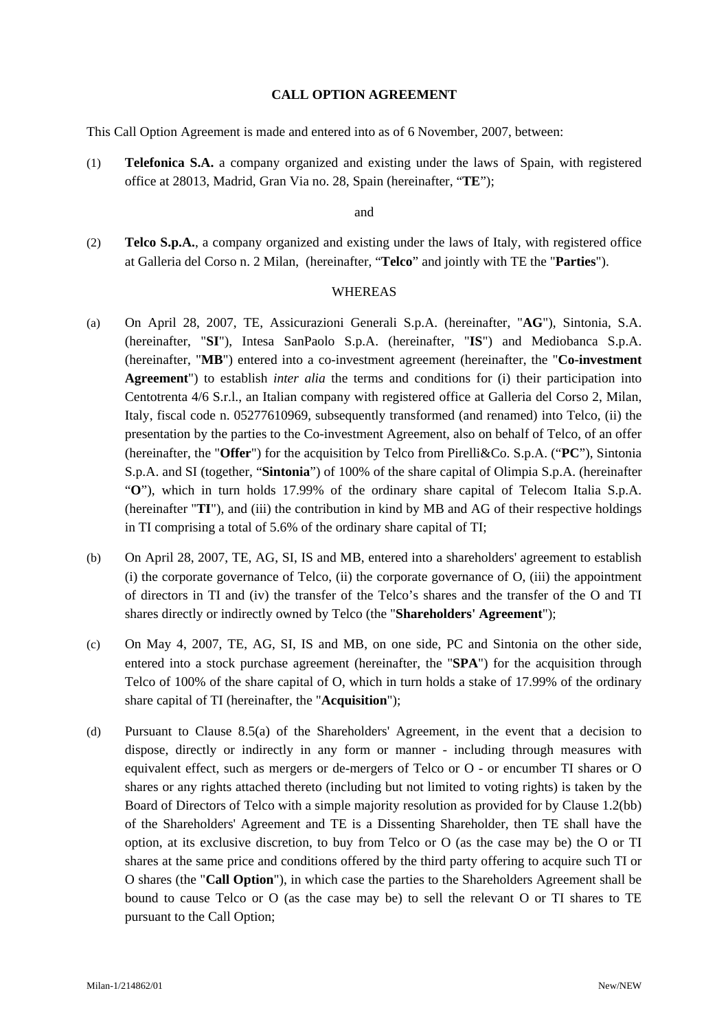#### **CALL OPTION AGREEMENT**

This Call Option Agreement is made and entered into as of 6 November, 2007, between:

(1) **Telefonica S.A.** a company organized and existing under the laws of Spain, with registered office at 28013, Madrid, Gran Via no. 28, Spain (hereinafter, "**TE**");

and

(2) **Telco S.p.A.**, a company organized and existing under the laws of Italy, with registered office at Galleria del Corso n. 2 Milan, (hereinafter, "**Telco**" and jointly with TE the "**Parties**").

#### WHEREAS

- (a) On April 28, 2007, TE, Assicurazioni Generali S.p.A. (hereinafter, "**AG**"), Sintonia, S.A. (hereinafter, "**SI**"), Intesa SanPaolo S.p.A. (hereinafter, "**IS**") and Mediobanca S.p.A. (hereinafter, "**MB**") entered into a co-investment agreement (hereinafter, the "**Co-investment Agreement**") to establish *inter alia* the terms and conditions for (i) their participation into Centotrenta 4/6 S.r.l., an Italian company with registered office at Galleria del Corso 2, Milan, Italy, fiscal code n. 05277610969, subsequently transformed (and renamed) into Telco, (ii) the presentation by the parties to the Co-investment Agreement, also on behalf of Telco, of an offer (hereinafter, the "**Offer**") for the acquisition by Telco from Pirelli&Co. S.p.A. ("**PC**"), Sintonia S.p.A. and SI (together, "**Sintonia**") of 100% of the share capital of Olimpia S.p.A. (hereinafter "**O**"), which in turn holds 17.99% of the ordinary share capital of Telecom Italia S.p.A. (hereinafter "**TI**"), and (iii) the contribution in kind by MB and AG of their respective holdings in TI comprising a total of 5.6% of the ordinary share capital of TI;
- (b) On April 28, 2007, TE, AG, SI, IS and MB, entered into a shareholders' agreement to establish (i) the corporate governance of Telco, (ii) the corporate governance of O, (iii) the appointment of directors in TI and (iv) the transfer of the Telco's shares and the transfer of the O and TI shares directly or indirectly owned by Telco (the "**Shareholders' Agreement**");
- (c) On May 4, 2007, TE, AG, SI, IS and MB, on one side, PC and Sintonia on the other side, entered into a stock purchase agreement (hereinafter, the "**SPA**") for the acquisition through Telco of 100% of the share capital of O, which in turn holds a stake of 17.99% of the ordinary share capital of TI (hereinafter, the "**Acquisition**");
- (d) Pursuant to Clause 8.5(a) of the Shareholders' Agreement, in the event that a decision to dispose, directly or indirectly in any form or manner - including through measures with equivalent effect, such as mergers or de-mergers of Telco or O - or encumber TI shares or O shares or any rights attached thereto (including but not limited to voting rights) is taken by the Board of Directors of Telco with a simple majority resolution as provided for by Clause 1.2(bb) of the Shareholders' Agreement and TE is a Dissenting Shareholder, then TE shall have the option, at its exclusive discretion, to buy from Telco or O (as the case may be) the O or TI shares at the same price and conditions offered by the third party offering to acquire such TI or O shares (the "**Call Option**"), in which case the parties to the Shareholders Agreement shall be bound to cause Telco or O (as the case may be) to sell the relevant O or TI shares to TE pursuant to the Call Option;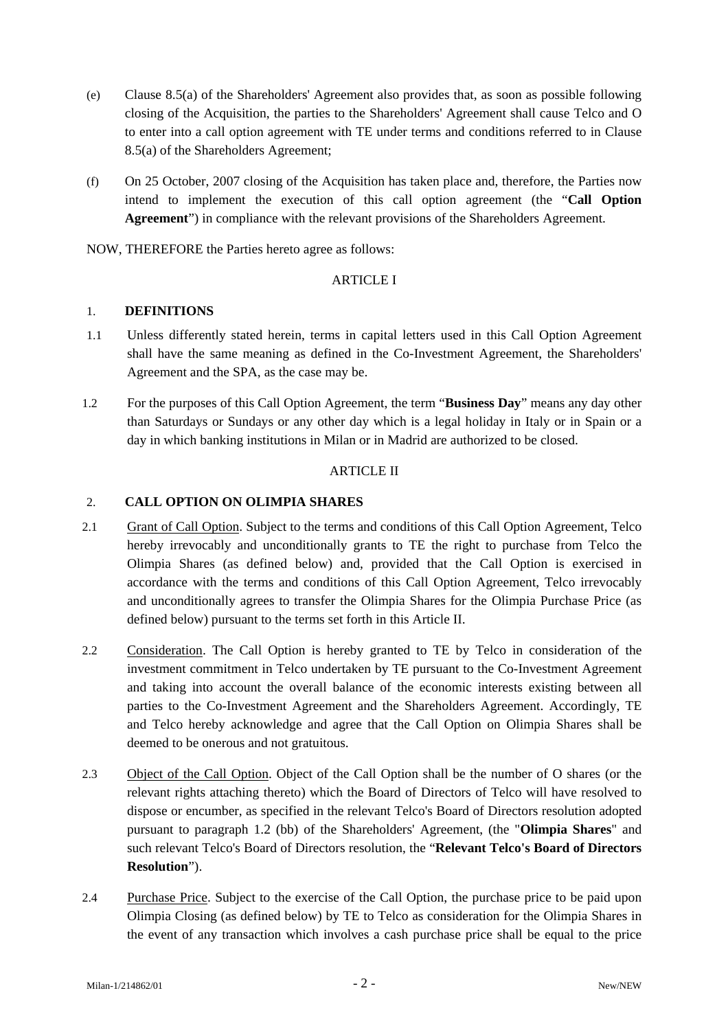- (e) Clause 8.5(a) of the Shareholders' Agreement also provides that, as soon as possible following closing of the Acquisition, the parties to the Shareholders' Agreement shall cause Telco and O to enter into a call option agreement with TE under terms and conditions referred to in Clause 8.5(a) of the Shareholders Agreement;
- (f) On 25 October, 2007 closing of the Acquisition has taken place and, therefore, the Parties now intend to implement the execution of this call option agreement (the "**Call Option Agreement**") in compliance with the relevant provisions of the Shareholders Agreement.

NOW, THEREFORE the Parties hereto agree as follows:

## ARTICLE I

### 1. **DEFINITIONS**

- 1.1 Unless differently stated herein, terms in capital letters used in this Call Option Agreement shall have the same meaning as defined in the Co-Investment Agreement, the Shareholders' Agreement and the SPA, as the case may be.
- 1.2 For the purposes of this Call Option Agreement, the term "**Business Day**" means any day other than Saturdays or Sundays or any other day which is a legal holiday in Italy or in Spain or a day in which banking institutions in Milan or in Madrid are authorized to be closed.

## ARTICLE II

# 2. **CALL OPTION ON OLIMPIA SHARES**

- 2.1 Grant of Call Option. Subject to the terms and conditions of this Call Option Agreement, Telco hereby irrevocably and unconditionally grants to TE the right to purchase from Telco the Olimpia Shares (as defined below) and, provided that the Call Option is exercised in accordance with the terms and conditions of this Call Option Agreement, Telco irrevocably and unconditionally agrees to transfer the Olimpia Shares for the Olimpia Purchase Price (as defined below) pursuant to the terms set forth in this Article II.
- 2.2 Consideration. The Call Option is hereby granted to TE by Telco in consideration of the investment commitment in Telco undertaken by TE pursuant to the Co-Investment Agreement and taking into account the overall balance of the economic interests existing between all parties to the Co-Investment Agreement and the Shareholders Agreement. Accordingly, TE and Telco hereby acknowledge and agree that the Call Option on Olimpia Shares shall be deemed to be onerous and not gratuitous.
- 2.3 Object of the Call Option. Object of the Call Option shall be the number of O shares (or the relevant rights attaching thereto) which the Board of Directors of Telco will have resolved to dispose or encumber, as specified in the relevant Telco's Board of Directors resolution adopted pursuant to paragraph 1.2 (bb) of the Shareholders' Agreement, (the "**Olimpia Shares**" and such relevant Telco's Board of Directors resolution, the "**Relevant Telco's Board of Directors Resolution**").
- 2.4 Purchase Price. Subject to the exercise of the Call Option, the purchase price to be paid upon Olimpia Closing (as defined below) by TE to Telco as consideration for the Olimpia Shares in the event of any transaction which involves a cash purchase price shall be equal to the price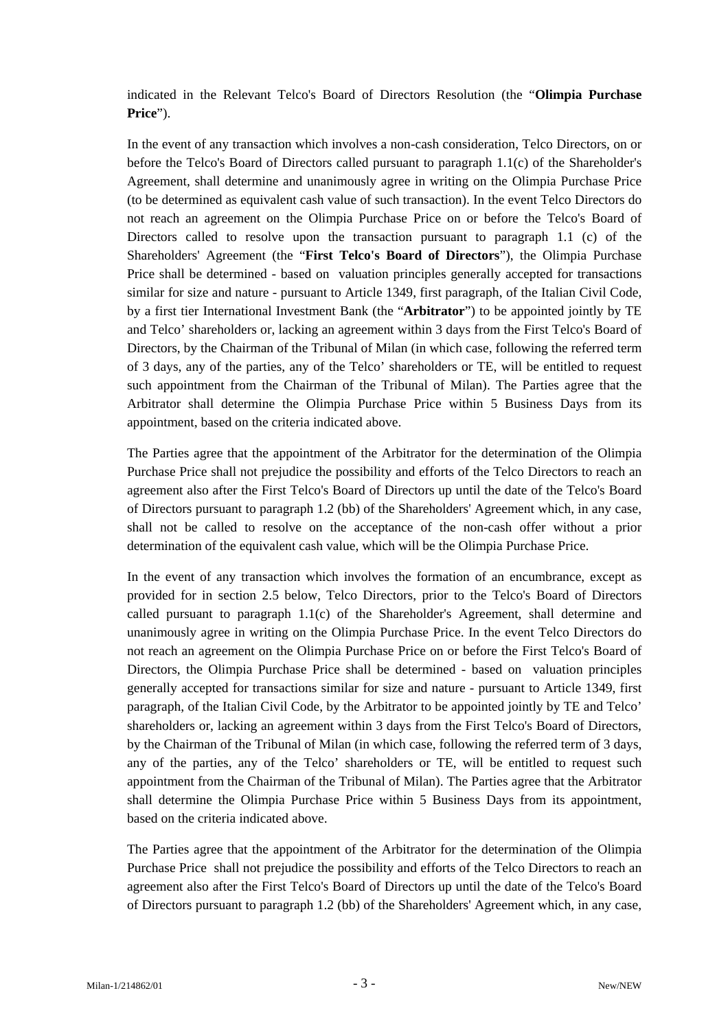indicated in the Relevant Telco's Board of Directors Resolution (the "**Olimpia Purchase Price**").

In the event of any transaction which involves a non-cash consideration, Telco Directors, on or before the Telco's Board of Directors called pursuant to paragraph 1.1(c) of the Shareholder's Agreement, shall determine and unanimously agree in writing on the Olimpia Purchase Price (to be determined as equivalent cash value of such transaction). In the event Telco Directors do not reach an agreement on the Olimpia Purchase Price on or before the Telco's Board of Directors called to resolve upon the transaction pursuant to paragraph 1.1 (c) of the Shareholders' Agreement (the "**First Telco's Board of Directors**"), the Olimpia Purchase Price shall be determined - based on valuation principles generally accepted for transactions similar for size and nature - pursuant to Article 1349, first paragraph, of the Italian Civil Code, by a first tier International Investment Bank (the "**Arbitrator**") to be appointed jointly by TE and Telco' shareholders or, lacking an agreement within 3 days from the First Telco's Board of Directors, by the Chairman of the Tribunal of Milan (in which case, following the referred term of 3 days, any of the parties, any of the Telco' shareholders or TE, will be entitled to request such appointment from the Chairman of the Tribunal of Milan). The Parties agree that the Arbitrator shall determine the Olimpia Purchase Price within 5 Business Days from its appointment, based on the criteria indicated above.

The Parties agree that the appointment of the Arbitrator for the determination of the Olimpia Purchase Price shall not prejudice the possibility and efforts of the Telco Directors to reach an agreement also after the First Telco's Board of Directors up until the date of the Telco's Board of Directors pursuant to paragraph 1.2 (bb) of the Shareholders' Agreement which, in any case, shall not be called to resolve on the acceptance of the non-cash offer without a prior determination of the equivalent cash value, which will be the Olimpia Purchase Price.

In the event of any transaction which involves the formation of an encumbrance, except as provided for in section 2.5 below, Telco Directors, prior to the Telco's Board of Directors called pursuant to paragraph 1.1(c) of the Shareholder's Agreement, shall determine and unanimously agree in writing on the Olimpia Purchase Price. In the event Telco Directors do not reach an agreement on the Olimpia Purchase Price on or before the First Telco's Board of Directors, the Olimpia Purchase Price shall be determined - based on valuation principles generally accepted for transactions similar for size and nature - pursuant to Article 1349, first paragraph, of the Italian Civil Code, by the Arbitrator to be appointed jointly by TE and Telco' shareholders or, lacking an agreement within 3 days from the First Telco's Board of Directors, by the Chairman of the Tribunal of Milan (in which case, following the referred term of 3 days, any of the parties, any of the Telco' shareholders or TE, will be entitled to request such appointment from the Chairman of the Tribunal of Milan). The Parties agree that the Arbitrator shall determine the Olimpia Purchase Price within 5 Business Days from its appointment, based on the criteria indicated above.

The Parties agree that the appointment of the Arbitrator for the determination of the Olimpia Purchase Price shall not prejudice the possibility and efforts of the Telco Directors to reach an agreement also after the First Telco's Board of Directors up until the date of the Telco's Board of Directors pursuant to paragraph 1.2 (bb) of the Shareholders' Agreement which, in any case,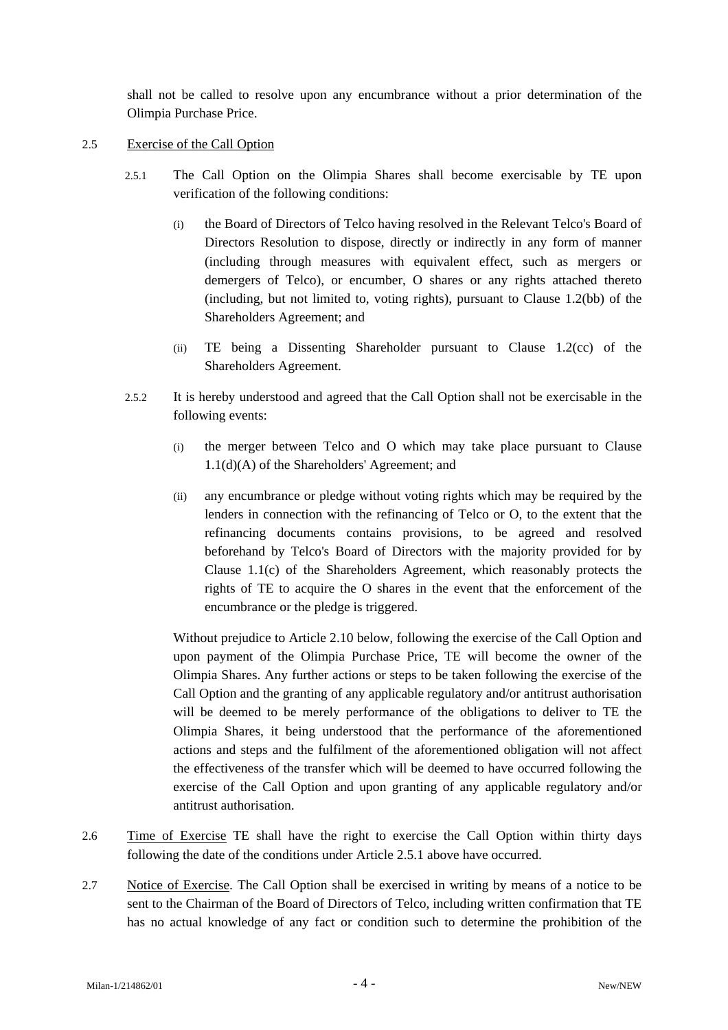shall not be called to resolve upon any encumbrance without a prior determination of the Olimpia Purchase Price.

- 2.5 Exercise of the Call Option
	- 2.5.1 The Call Option on the Olimpia Shares shall become exercisable by TE upon verification of the following conditions:
		- (i) the Board of Directors of Telco having resolved in the Relevant Telco's Board of Directors Resolution to dispose, directly or indirectly in any form of manner (including through measures with equivalent effect, such as mergers or demergers of Telco), or encumber, O shares or any rights attached thereto (including, but not limited to, voting rights), pursuant to Clause 1.2(bb) of the Shareholders Agreement; and
		- (ii) TE being a Dissenting Shareholder pursuant to Clause 1.2(cc) of the Shareholders Agreement.
	- 2.5.2 It is hereby understood and agreed that the Call Option shall not be exercisable in the following events:
		- (i) the merger between Telco and O which may take place pursuant to Clause 1.1(d)(A) of the Shareholders' Agreement; and
		- (ii) any encumbrance or pledge without voting rights which may be required by the lenders in connection with the refinancing of Telco or O, to the extent that the refinancing documents contains provisions, to be agreed and resolved beforehand by Telco's Board of Directors with the majority provided for by Clause 1.1(c) of the Shareholders Agreement, which reasonably protects the rights of TE to acquire the O shares in the event that the enforcement of the encumbrance or the pledge is triggered.

Without prejudice to Article 2.10 below, following the exercise of the Call Option and upon payment of the Olimpia Purchase Price, TE will become the owner of the Olimpia Shares. Any further actions or steps to be taken following the exercise of the Call Option and the granting of any applicable regulatory and/or antitrust authorisation will be deemed to be merely performance of the obligations to deliver to TE the Olimpia Shares, it being understood that the performance of the aforementioned actions and steps and the fulfilment of the aforementioned obligation will not affect the effectiveness of the transfer which will be deemed to have occurred following the exercise of the Call Option and upon granting of any applicable regulatory and/or antitrust authorisation.

- 2.6 Time of Exercise TE shall have the right to exercise the Call Option within thirty days following the date of the conditions under Article 2.5.1 above have occurred.
- 2.7 Notice of Exercise. The Call Option shall be exercised in writing by means of a notice to be sent to the Chairman of the Board of Directors of Telco, including written confirmation that TE has no actual knowledge of any fact or condition such to determine the prohibition of the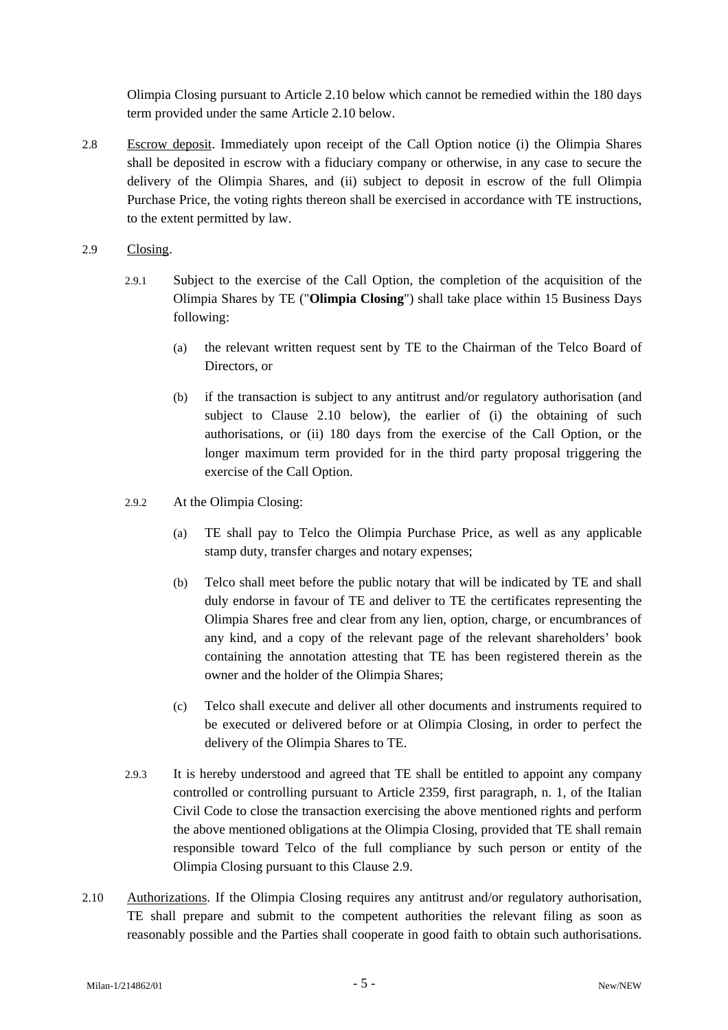Olimpia Closing pursuant to Article 2.10 below which cannot be remedied within the 180 days term provided under the same Article 2.10 below.

- 2.8 Escrow deposit. Immediately upon receipt of the Call Option notice (i) the Olimpia Shares shall be deposited in escrow with a fiduciary company or otherwise, in any case to secure the delivery of the Olimpia Shares, and (ii) subject to deposit in escrow of the full Olimpia Purchase Price, the voting rights thereon shall be exercised in accordance with TE instructions, to the extent permitted by law.
- 2.9 Closing.
	- 2.9.1 Subject to the exercise of the Call Option, the completion of the acquisition of the Olimpia Shares by TE ("**Olimpia Closing**") shall take place within 15 Business Days following:
		- (a) the relevant written request sent by TE to the Chairman of the Telco Board of Directors, or
		- (b) if the transaction is subject to any antitrust and/or regulatory authorisation (and subject to Clause 2.10 below), the earlier of (i) the obtaining of such authorisations, or (ii) 180 days from the exercise of the Call Option, or the longer maximum term provided for in the third party proposal triggering the exercise of the Call Option.
	- 2.9.2 At the Olimpia Closing:
		- (a) TE shall pay to Telco the Olimpia Purchase Price, as well as any applicable stamp duty, transfer charges and notary expenses;
		- (b) Telco shall meet before the public notary that will be indicated by TE and shall duly endorse in favour of TE and deliver to TE the certificates representing the Olimpia Shares free and clear from any lien, option, charge, or encumbrances of any kind, and a copy of the relevant page of the relevant shareholders' book containing the annotation attesting that TE has been registered therein as the owner and the holder of the Olimpia Shares;
		- (c) Telco shall execute and deliver all other documents and instruments required to be executed or delivered before or at Olimpia Closing, in order to perfect the delivery of the Olimpia Shares to TE.
	- 2.9.3 It is hereby understood and agreed that TE shall be entitled to appoint any company controlled or controlling pursuant to Article 2359, first paragraph, n. 1, of the Italian Civil Code to close the transaction exercising the above mentioned rights and perform the above mentioned obligations at the Olimpia Closing, provided that TE shall remain responsible toward Telco of the full compliance by such person or entity of the Olimpia Closing pursuant to this Clause 2.9.
- 2.10 Authorizations. If the Olimpia Closing requires any antitrust and/or regulatory authorisation, TE shall prepare and submit to the competent authorities the relevant filing as soon as reasonably possible and the Parties shall cooperate in good faith to obtain such authorisations.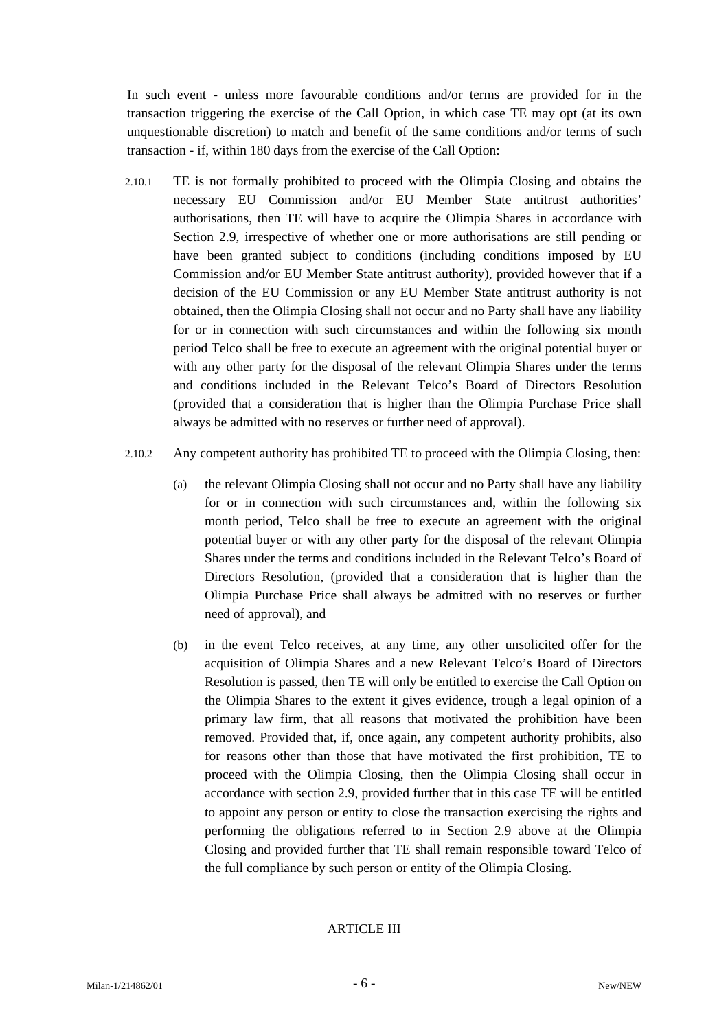In such event - unless more favourable conditions and/or terms are provided for in the transaction triggering the exercise of the Call Option, in which case TE may opt (at its own unquestionable discretion) to match and benefit of the same conditions and/or terms of such transaction - if, within 180 days from the exercise of the Call Option:

- 2.10.1 TE is not formally prohibited to proceed with the Olimpia Closing and obtains the necessary EU Commission and/or EU Member State antitrust authorities' authorisations, then TE will have to acquire the Olimpia Shares in accordance with Section 2.9, irrespective of whether one or more authorisations are still pending or have been granted subject to conditions (including conditions imposed by EU Commission and/or EU Member State antitrust authority), provided however that if a decision of the EU Commission or any EU Member State antitrust authority is not obtained, then the Olimpia Closing shall not occur and no Party shall have any liability for or in connection with such circumstances and within the following six month period Telco shall be free to execute an agreement with the original potential buyer or with any other party for the disposal of the relevant Olimpia Shares under the terms and conditions included in the Relevant Telco's Board of Directors Resolution (provided that a consideration that is higher than the Olimpia Purchase Price shall always be admitted with no reserves or further need of approval).
- 2.10.2 Any competent authority has prohibited TE to proceed with the Olimpia Closing, then:
	- (a) the relevant Olimpia Closing shall not occur and no Party shall have any liability for or in connection with such circumstances and, within the following six month period, Telco shall be free to execute an agreement with the original potential buyer or with any other party for the disposal of the relevant Olimpia Shares under the terms and conditions included in the Relevant Telco's Board of Directors Resolution, (provided that a consideration that is higher than the Olimpia Purchase Price shall always be admitted with no reserves or further need of approval), and
	- (b) in the event Telco receives, at any time, any other unsolicited offer for the acquisition of Olimpia Shares and a new Relevant Telco's Board of Directors Resolution is passed, then TE will only be entitled to exercise the Call Option on the Olimpia Shares to the extent it gives evidence, trough a legal opinion of a primary law firm, that all reasons that motivated the prohibition have been removed. Provided that, if, once again, any competent authority prohibits, also for reasons other than those that have motivated the first prohibition, TE to proceed with the Olimpia Closing, then the Olimpia Closing shall occur in accordance with section 2.9, provided further that in this case TE will be entitled to appoint any person or entity to close the transaction exercising the rights and performing the obligations referred to in Section 2.9 above at the Olimpia Closing and provided further that TE shall remain responsible toward Telco of the full compliance by such person or entity of the Olimpia Closing.

# ARTICLE III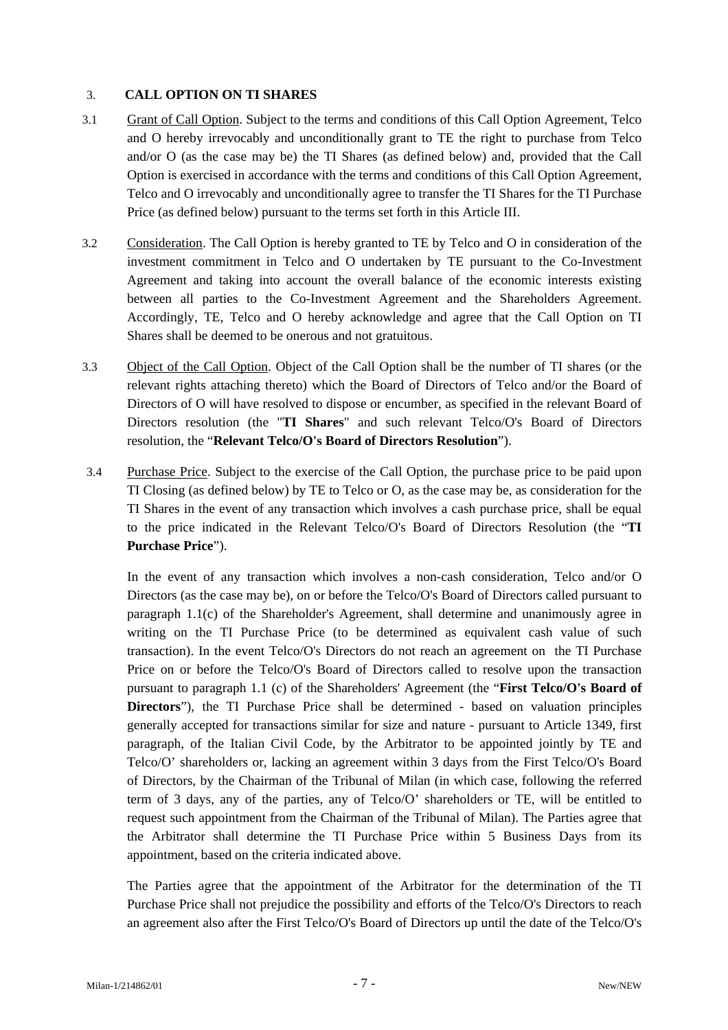# 3. **CALL OPTION ON TI SHARES**

- 3.1 Grant of Call Option. Subject to the terms and conditions of this Call Option Agreement, Telco and O hereby irrevocably and unconditionally grant to TE the right to purchase from Telco and/or O (as the case may be) the TI Shares (as defined below) and, provided that the Call Option is exercised in accordance with the terms and conditions of this Call Option Agreement, Telco and O irrevocably and unconditionally agree to transfer the TI Shares for the TI Purchase Price (as defined below) pursuant to the terms set forth in this Article III.
- 3.2 Consideration. The Call Option is hereby granted to TE by Telco and O in consideration of the investment commitment in Telco and O undertaken by TE pursuant to the Co-Investment Agreement and taking into account the overall balance of the economic interests existing between all parties to the Co-Investment Agreement and the Shareholders Agreement. Accordingly, TE, Telco and O hereby acknowledge and agree that the Call Option on TI Shares shall be deemed to be onerous and not gratuitous.
- 3.3 Object of the Call Option. Object of the Call Option shall be the number of TI shares (or the relevant rights attaching thereto) which the Board of Directors of Telco and/or the Board of Directors of O will have resolved to dispose or encumber, as specified in the relevant Board of Directors resolution (the "**TI Shares**" and such relevant Telco/O's Board of Directors resolution, the "**Relevant Telco/O's Board of Directors Resolution**").
- 3.4 Purchase Price. Subject to the exercise of the Call Option, the purchase price to be paid upon TI Closing (as defined below) by TE to Telco or O, as the case may be, as consideration for the TI Shares in the event of any transaction which involves a cash purchase price, shall be equal to the price indicated in the Relevant Telco/O's Board of Directors Resolution (the "**TI Purchase Price**").

In the event of any transaction which involves a non-cash consideration, Telco and/or O Directors (as the case may be), on or before the Telco/O's Board of Directors called pursuant to paragraph 1.1(c) of the Shareholder's Agreement, shall determine and unanimously agree in writing on the TI Purchase Price (to be determined as equivalent cash value of such transaction). In the event Telco/O's Directors do not reach an agreement on the TI Purchase Price on or before the Telco/O's Board of Directors called to resolve upon the transaction pursuant to paragraph 1.1 (c) of the Shareholders' Agreement (the "**First Telco/O's Board of Directors**"), the TI Purchase Price shall be determined - based on valuation principles generally accepted for transactions similar for size and nature - pursuant to Article 1349, first paragraph, of the Italian Civil Code, by the Arbitrator to be appointed jointly by TE and Telco/O' shareholders or, lacking an agreement within 3 days from the First Telco/O's Board of Directors, by the Chairman of the Tribunal of Milan (in which case, following the referred term of 3 days, any of the parties, any of Telco/O' shareholders or TE, will be entitled to request such appointment from the Chairman of the Tribunal of Milan). The Parties agree that the Arbitrator shall determine the TI Purchase Price within 5 Business Days from its appointment, based on the criteria indicated above.

The Parties agree that the appointment of the Arbitrator for the determination of the TI Purchase Price shall not prejudice the possibility and efforts of the Telco/O's Directors to reach an agreement also after the First Telco/O's Board of Directors up until the date of the Telco/O's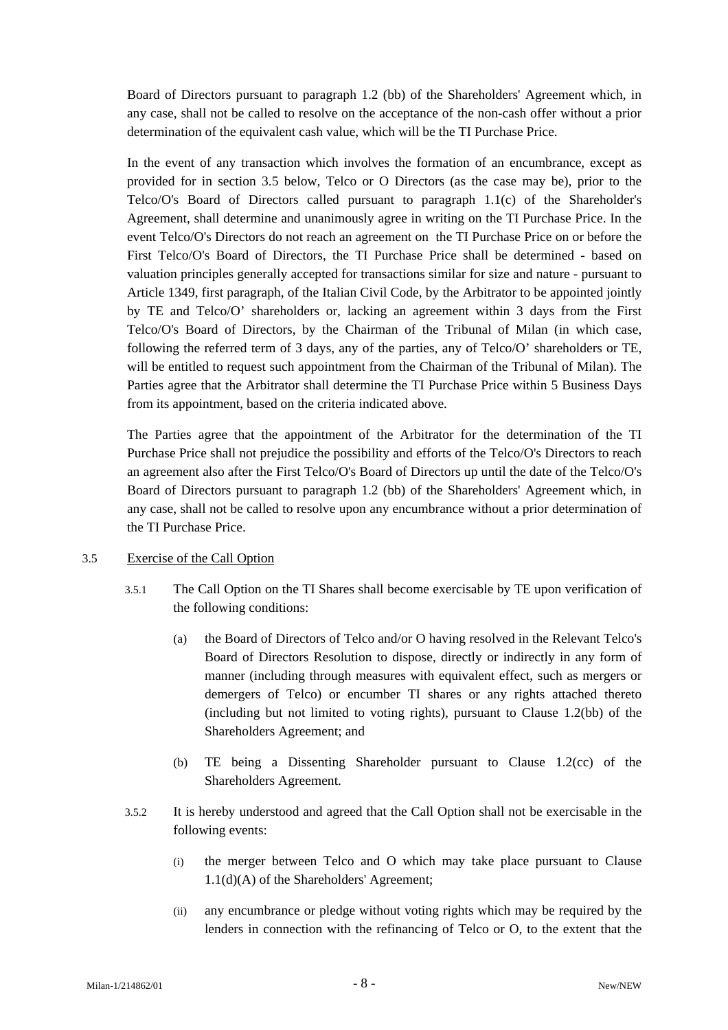Board of Directors pursuant to paragraph 1.2 (bb) of the Shareholders' Agreement which, in any case, shall not be called to resolve on the acceptance of the non-cash offer without a prior determination of the equivalent cash value, which will be the TI Purchase Price.

In the event of any transaction which involves the formation of an encumbrance, except as provided for in section 3.5 below, Telco or O Directors (as the case may be), prior to the Telco/O's Board of Directors called pursuant to paragraph 1.1(c) of the Shareholder's Agreement, shall determine and unanimously agree in writing on the TI Purchase Price. In the event Telco/O's Directors do not reach an agreement on the TI Purchase Price on or before the First Telco/O's Board of Directors, the TI Purchase Price shall be determined - based on valuation principles generally accepted for transactions similar for size and nature - pursuant to Article 1349, first paragraph, of the Italian Civil Code, by the Arbitrator to be appointed jointly by TE and Telco/O' shareholders or, lacking an agreement within 3 days from the First Telco/O's Board of Directors, by the Chairman of the Tribunal of Milan (in which case, following the referred term of 3 days, any of the parties, any of Telco/O' shareholders or TE, will be entitled to request such appointment from the Chairman of the Tribunal of Milan). The Parties agree that the Arbitrator shall determine the TI Purchase Price within 5 Business Days from its appointment, based on the criteria indicated above.

The Parties agree that the appointment of the Arbitrator for the determination of the TI Purchase Price shall not prejudice the possibility and efforts of the Telco/O's Directors to reach an agreement also after the First Telco/O's Board of Directors up until the date of the Telco/O's Board of Directors pursuant to paragraph 1.2 (bb) of the Shareholders' Agreement which, in any case, shall not be called to resolve upon any encumbrance without a prior determination of the TI Purchase Price.

# 3.5 Exercise of the Call Option

- 3.5.1 The Call Option on the TI Shares shall become exercisable by TE upon verification of the following conditions:
	- (a) the Board of Directors of Telco and/or O having resolved in the Relevant Telco's Board of Directors Resolution to dispose, directly or indirectly in any form of manner (including through measures with equivalent effect, such as mergers or demergers of Telco) or encumber TI shares or any rights attached thereto (including but not limited to voting rights), pursuant to Clause 1.2(bb) of the Shareholders Agreement; and
	- (b) TE being a Dissenting Shareholder pursuant to Clause 1.2(cc) of the Shareholders Agreement.
- 3.5.2 It is hereby understood and agreed that the Call Option shall not be exercisable in the following events:
	- (i) the merger between Telco and O which may take place pursuant to Clause 1.1(d)(A) of the Shareholders' Agreement;
	- (ii) any encumbrance or pledge without voting rights which may be required by the lenders in connection with the refinancing of Telco or O, to the extent that the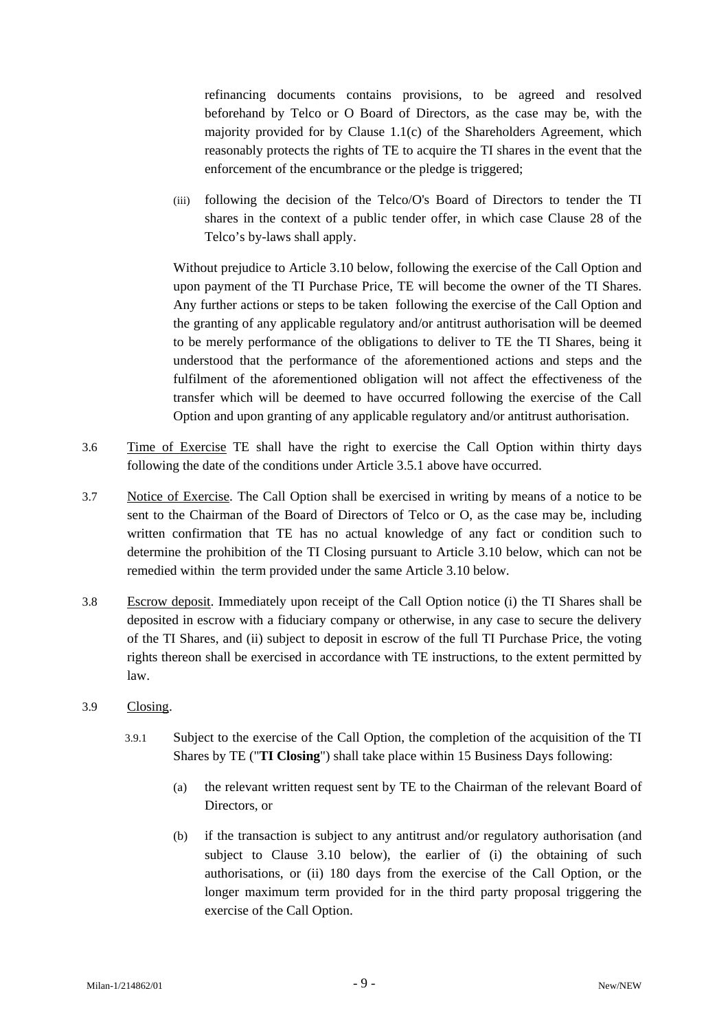refinancing documents contains provisions, to be agreed and resolved beforehand by Telco or O Board of Directors, as the case may be, with the majority provided for by Clause 1.1(c) of the Shareholders Agreement, which reasonably protects the rights of TE to acquire the TI shares in the event that the enforcement of the encumbrance or the pledge is triggered;

(iii) following the decision of the Telco/O's Board of Directors to tender the TI shares in the context of a public tender offer, in which case Clause 28 of the Telco's by-laws shall apply.

Without prejudice to Article 3.10 below, following the exercise of the Call Option and upon payment of the TI Purchase Price, TE will become the owner of the TI Shares. Any further actions or steps to be taken following the exercise of the Call Option and the granting of any applicable regulatory and/or antitrust authorisation will be deemed to be merely performance of the obligations to deliver to TE the TI Shares, being it understood that the performance of the aforementioned actions and steps and the fulfilment of the aforementioned obligation will not affect the effectiveness of the transfer which will be deemed to have occurred following the exercise of the Call Option and upon granting of any applicable regulatory and/or antitrust authorisation.

- 3.6 Time of Exercise TE shall have the right to exercise the Call Option within thirty days following the date of the conditions under Article 3.5.1 above have occurred.
- 3.7 Notice of Exercise. The Call Option shall be exercised in writing by means of a notice to be sent to the Chairman of the Board of Directors of Telco or O, as the case may be, including written confirmation that TE has no actual knowledge of any fact or condition such to determine the prohibition of the TI Closing pursuant to Article 3.10 below, which can not be remedied within the term provided under the same Article 3.10 below.
- 3.8 Escrow deposit. Immediately upon receipt of the Call Option notice (i) the TI Shares shall be deposited in escrow with a fiduciary company or otherwise, in any case to secure the delivery of the TI Shares, and (ii) subject to deposit in escrow of the full TI Purchase Price, the voting rights thereon shall be exercised in accordance with TE instructions, to the extent permitted by law.
- 3.9 Closing.
	- 3.9.1 Subject to the exercise of the Call Option, the completion of the acquisition of the TI Shares by TE ("**TI Closing**") shall take place within 15 Business Days following:
		- (a) the relevant written request sent by TE to the Chairman of the relevant Board of Directors, or
		- (b) if the transaction is subject to any antitrust and/or regulatory authorisation (and subject to Clause 3.10 below), the earlier of (i) the obtaining of such authorisations, or (ii) 180 days from the exercise of the Call Option, or the longer maximum term provided for in the third party proposal triggering the exercise of the Call Option.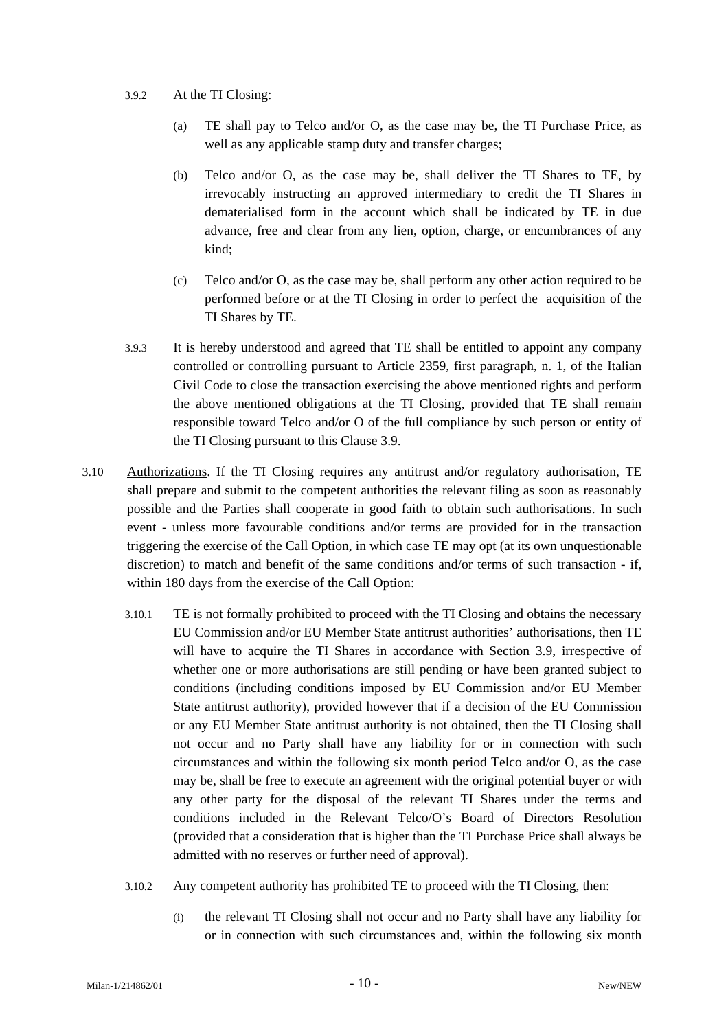### 3.9.2 At the TI Closing:

- (a) TE shall pay to Telco and/or O, as the case may be, the TI Purchase Price, as well as any applicable stamp duty and transfer charges;
- (b) Telco and/or O, as the case may be, shall deliver the TI Shares to TE, by irrevocably instructing an approved intermediary to credit the TI Shares in dematerialised form in the account which shall be indicated by TE in due advance, free and clear from any lien, option, charge, or encumbrances of any kind;
- (c) Telco and/or O, as the case may be, shall perform any other action required to be performed before or at the TI Closing in order to perfect the acquisition of the TI Shares by TE.
- 3.9.3 It is hereby understood and agreed that TE shall be entitled to appoint any company controlled or controlling pursuant to Article 2359, first paragraph, n. 1, of the Italian Civil Code to close the transaction exercising the above mentioned rights and perform the above mentioned obligations at the TI Closing, provided that TE shall remain responsible toward Telco and/or O of the full compliance by such person or entity of the TI Closing pursuant to this Clause 3.9.
- 3.10 Authorizations. If the TI Closing requires any antitrust and/or regulatory authorisation, TE shall prepare and submit to the competent authorities the relevant filing as soon as reasonably possible and the Parties shall cooperate in good faith to obtain such authorisations. In such event - unless more favourable conditions and/or terms are provided for in the transaction triggering the exercise of the Call Option, in which case TE may opt (at its own unquestionable discretion) to match and benefit of the same conditions and/or terms of such transaction - if, within 180 days from the exercise of the Call Option:
	- 3.10.1 TE is not formally prohibited to proceed with the TI Closing and obtains the necessary EU Commission and/or EU Member State antitrust authorities' authorisations, then TE will have to acquire the TI Shares in accordance with Section 3.9, irrespective of whether one or more authorisations are still pending or have been granted subject to conditions (including conditions imposed by EU Commission and/or EU Member State antitrust authority), provided however that if a decision of the EU Commission or any EU Member State antitrust authority is not obtained, then the TI Closing shall not occur and no Party shall have any liability for or in connection with such circumstances and within the following six month period Telco and/or O, as the case may be, shall be free to execute an agreement with the original potential buyer or with any other party for the disposal of the relevant TI Shares under the terms and conditions included in the Relevant Telco/O's Board of Directors Resolution (provided that a consideration that is higher than the TI Purchase Price shall always be admitted with no reserves or further need of approval).
	- 3.10.2 Any competent authority has prohibited TE to proceed with the TI Closing, then:
		- (i) the relevant TI Closing shall not occur and no Party shall have any liability for or in connection with such circumstances and, within the following six month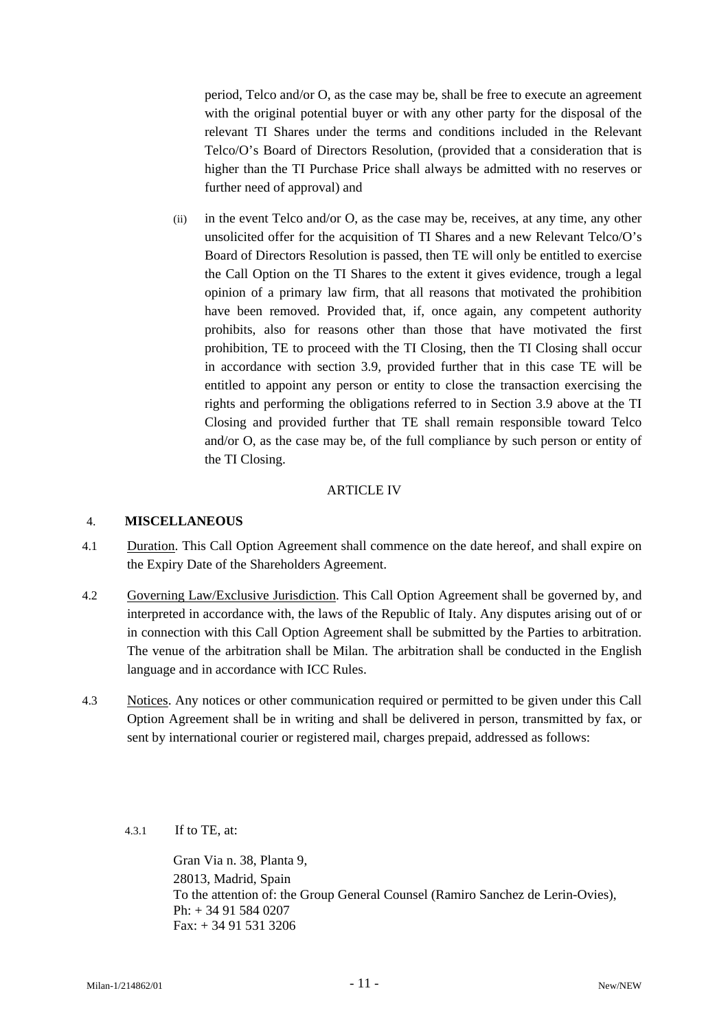period, Telco and/or O, as the case may be, shall be free to execute an agreement with the original potential buyer or with any other party for the disposal of the relevant TI Shares under the terms and conditions included in the Relevant Telco/O's Board of Directors Resolution, (provided that a consideration that is higher than the TI Purchase Price shall always be admitted with no reserves or further need of approval) and

(ii) in the event Telco and/or O, as the case may be, receives, at any time, any other unsolicited offer for the acquisition of TI Shares and a new Relevant Telco/O's Board of Directors Resolution is passed, then TE will only be entitled to exercise the Call Option on the TI Shares to the extent it gives evidence, trough a legal opinion of a primary law firm, that all reasons that motivated the prohibition have been removed. Provided that, if, once again, any competent authority prohibits, also for reasons other than those that have motivated the first prohibition, TE to proceed with the TI Closing, then the TI Closing shall occur in accordance with section 3.9, provided further that in this case TE will be entitled to appoint any person or entity to close the transaction exercising the rights and performing the obligations referred to in Section 3.9 above at the TI Closing and provided further that TE shall remain responsible toward Telco and/or O, as the case may be, of the full compliance by such person or entity of the TI Closing.

### ARTICLE IV

### 4. **MISCELLANEOUS**

- 4.1 Duration. This Call Option Agreement shall commence on the date hereof, and shall expire on the Expiry Date of the Shareholders Agreement.
- 4.2 Governing Law/Exclusive Jurisdiction. This Call Option Agreement shall be governed by, and interpreted in accordance with, the laws of the Republic of Italy. Any disputes arising out of or in connection with this Call Option Agreement shall be submitted by the Parties to arbitration. The venue of the arbitration shall be Milan. The arbitration shall be conducted in the English language and in accordance with ICC Rules.
- 4.3 Notices. Any notices or other communication required or permitted to be given under this Call Option Agreement shall be in writing and shall be delivered in person, transmitted by fax, or sent by international courier or registered mail, charges prepaid, addressed as follows:
	- 4.3.1 If to TE, at:

Gran Via n. 38, Planta 9, 28013, Madrid, Spain To the attention of: the Group General Counsel (Ramiro Sanchez de Lerin-Ovies), Ph: + 34 91 584 0207 Fax: + 34 91 531 3206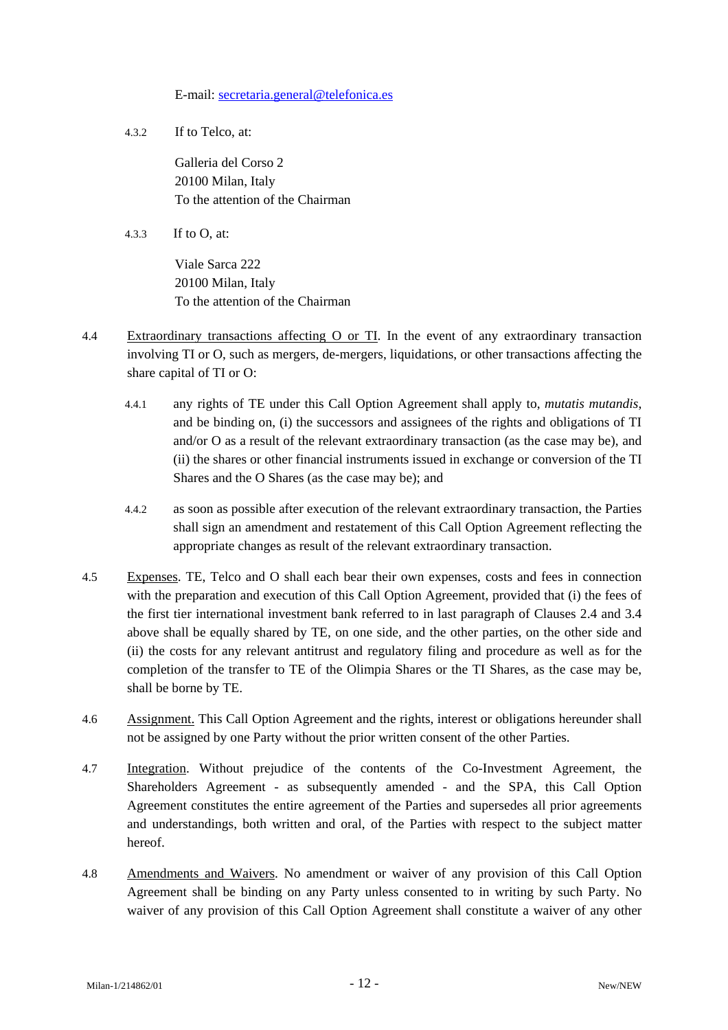E-mail: [secretaria.general@telefonica.es](mailto:secretaria.general@telefonica.es)

4.3.2 If to Telco, at:

Galleria del Corso 2 20100 Milan, Italy To the attention of the Chairman

4.3.3 If to O, at:

Viale Sarca 222 20100 Milan, Italy To the attention of the Chairman

- 4.4 Extraordinary transactions affecting O or TI. In the event of any extraordinary transaction involving TI or O, such as mergers, de-mergers, liquidations, or other transactions affecting the share capital of TI or O:
	- 4.4.1 any rights of TE under this Call Option Agreement shall apply to, *mutatis mutandis*, and be binding on, (i) the successors and assignees of the rights and obligations of TI and/or O as a result of the relevant extraordinary transaction (as the case may be), and (ii) the shares or other financial instruments issued in exchange or conversion of the TI Shares and the O Shares (as the case may be); and
	- 4.4.2 as soon as possible after execution of the relevant extraordinary transaction, the Parties shall sign an amendment and restatement of this Call Option Agreement reflecting the appropriate changes as result of the relevant extraordinary transaction.
- 4.5 Expenses. TE, Telco and O shall each bear their own expenses, costs and fees in connection with the preparation and execution of this Call Option Agreement, provided that (i) the fees of the first tier international investment bank referred to in last paragraph of Clauses 2.4 and 3.4 above shall be equally shared by TE, on one side, and the other parties, on the other side and (ii) the costs for any relevant antitrust and regulatory filing and procedure as well as for the completion of the transfer to TE of the Olimpia Shares or the TI Shares, as the case may be, shall be borne by TE.
- 4.6 Assignment. This Call Option Agreement and the rights, interest or obligations hereunder shall not be assigned by one Party without the prior written consent of the other Parties.
- 4.7 Integration. Without prejudice of the contents of the Co-Investment Agreement, the Shareholders Agreement - as subsequently amended - and the SPA, this Call Option Agreement constitutes the entire agreement of the Parties and supersedes all prior agreements and understandings, both written and oral, of the Parties with respect to the subject matter hereof.
- 4.8 Amendments and Waivers. No amendment or waiver of any provision of this Call Option Agreement shall be binding on any Party unless consented to in writing by such Party. No waiver of any provision of this Call Option Agreement shall constitute a waiver of any other